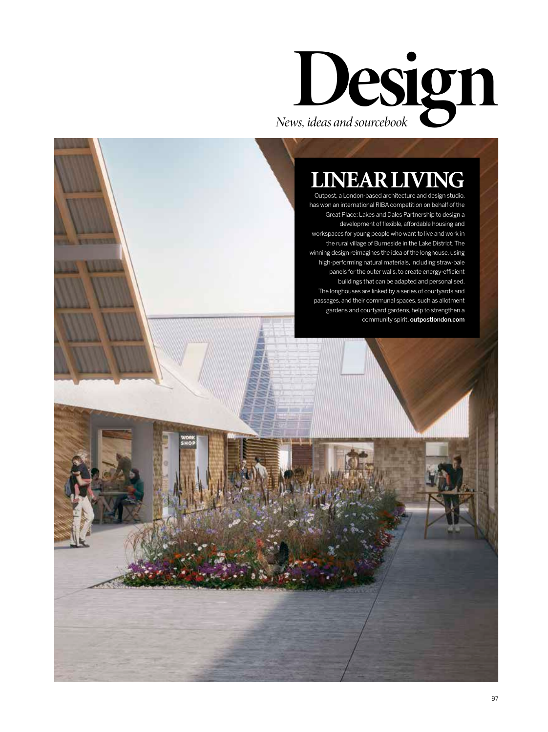

# **LINEAR LI**

Outpost, a London-based architecture and design studio, has won an international RIBA competition on behalf of the Great Place: Lakes and Dales Partnership to design a development of flexible, affordable housing and workspaces for young people who want to live and work in the rural village of Burneside in the Lake District. The winning design reimagines the idea of the longhouse, using high-performing natural materials, including straw-bale panels for the outer walls, to create energy-efficient buildings that can be adapted and personalised. The longhouses are linked by a series of courtyards and passages, and their communal spaces, such as allotment gardens and courtyard gardens, help to strengthen a community spirit. outpostlondon.com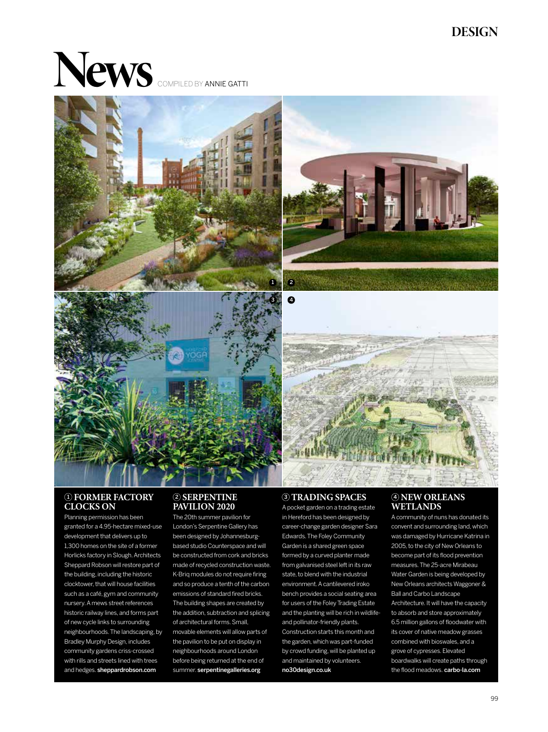## **DESIGN**

# **News** COMPILED BY ANNIE GATTI









## **CLOCKS ON**

Planning permission has been granted for a 4.95-hectare mixed-use development that delivers up to 1,300 homes on the site of a former Horlicks factory in Slough. Architects Sheppard Robson will restore part of the building, including the historic clocktower, that will house facilities such as a café, gym and community nursery. A mews street references historic railway lines, and forms part of new cycle links to surrounding neighbourhoods. The landscaping, by Bradley Murphy Design, includes community gardens criss-crossed with rills and streets lined with trees and hedges. sheppardrobson.com

## **2** SERPENTINE **PAVILION 2020**

The 20th summer pavilion for London's Serpentine Gallery has been designed by Johannesburgbased studio Counterspace and will be constructed from cork and bricks made of recycled construction waste. K-Briq modules do not require firing and so produce a tenth of the carbon emissions of standard fired bricks. The building shapes are created by the addition, subtraction and splicing of architectural forms. Small, movable elements will allow parts of the pavilion to be put on display in neighbourhoods around London before being returned at the end of summer. serpentinegalleries.org

#### **TRADING SPACES**

 $\ddot{\mathbf{O}}$ 

A pocket garden on a trading estate in Hereford has been designed by career-change garden designer Sara Edwards. The Foley Community Garden is a shared green space formed by a curved planter made from galvanised steel left in its raw state, to blend with the industrial environment. A cantilevered iroko bench provides a social seating area for users of the Foley Trading Estate and the planting will be rich in wildlifeand pollinator-friendly plants. Construction starts this month and the garden, which was part-funded by crowd funding, will be planted up and maintained by volunteers. no30design.co.uk

## **WETLANDS**

A community of nuns has donated its convent and surrounding land, which was damaged by Hurricane Katrina in 2005, to the city of New Orleans to become part of its flood prevention measures. The 25-acre Mirabeau Water Garden is being developed by New Orleans architects Waggoner & Ball and Carbo Landscape Architecture. It will have the capacity to absorb and store approximately 6.5 million gallons of floodwater with its cover of native meadow grasses combined with bioswales, and a grove of cypresses. Elevated boardwalks will create paths through the flood meadows. carbo-la.com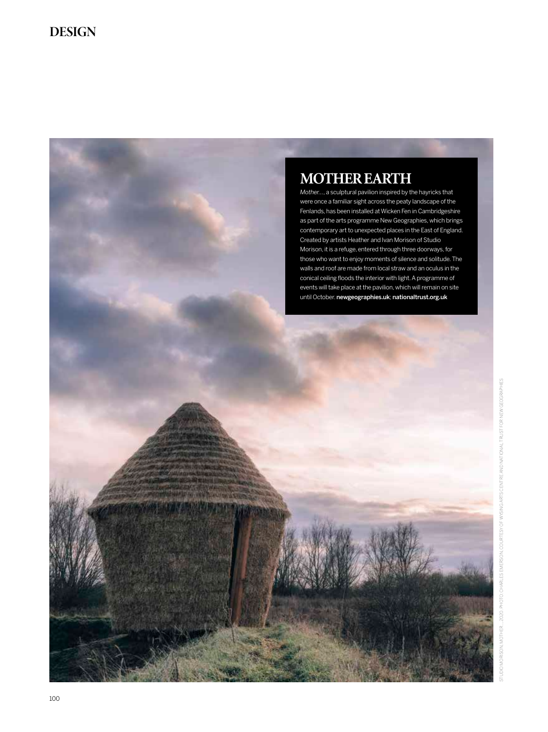## **MOTHER EARTH**

*Mother…*, a sculptural pavilion inspired by the hayricks that were once a familiar sight across the peaty landscape of the Fenlands, has been installed at Wicken Fen in Cambridgeshire as part of the arts programme New Geographies, which brings contemporary art to unexpected places in the East of England. Created by artists Heather and Ivan Morison of Studio Morison, it is a refuge, entered through three doorways, for those who want to enjoy moments of silence and solitude. The walls and roof are made from local straw and an oculus in the conical ceiling floods the interior with light. A programme of events will take place at the pavilion, which will remain on site until October. newgeographies.uk; nationaltrust.org.uk